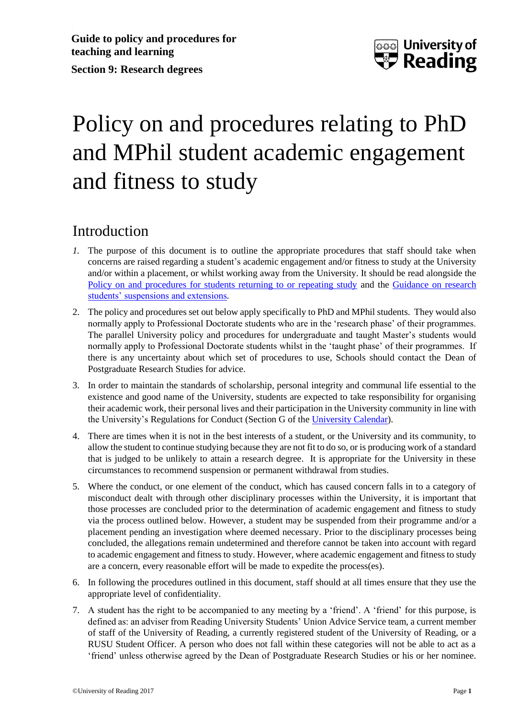

# Policy on and procedures relating to PhD and MPhil student academic engagement and fitness to study

### Introduction

- *1.* The purpose of this document is to outline the appropriate procedures that staff should take when concerns are raised regarding a student's academic engagement and/or fitness to study at the University and/or within a placement, or whilst working away from the University. It should be read alongside the [Policy on and procedures for students returning to or repeating study](http://www.reading.ac.uk/web/FILES/qualitysupport/returntostudy.pdf) and the Guidance [on research](http://www.reading.ac.uk/web/FILES/graduateschool/resstudentsuspandext.pdf)  [students' suspensions and extensions](http://www.reading.ac.uk/web/FILES/graduateschool/resstudentsuspandext.pdf)*.*
- 2. The policy and procedures set out below apply specifically to PhD and MPhil students. They would also normally apply to Professional Doctorate students who are in the 'research phase' of their programmes. The parallel University policy and procedures for undergraduate and taught Master's students would normally apply to Professional Doctorate students whilst in the 'taught phase' of their programmes. If there is any uncertainty about which set of procedures to use, Schools should contact the Dean of Postgraduate Research Studies for advice.
- 3. In order to maintain the standards of scholarship, personal integrity and communal life essential to the existence and good name of the University, students are expected to take responsibility for organising their academic work, their personal lives and their participation in the University community in line with the University's Regulations for Conduct (Section G of the [University Calendar\)](http://www.reading.ac.uk/internal/Calendar/).
- 4. There are times when it is not in the best interests of a student, or the University and its community, to allow the student to continue studying because they are not fit to do so, or is producing work of a standard that is judged to be unlikely to attain a research degree. It is appropriate for the University in these circumstances to recommend suspension or permanent withdrawal from studies.
- 5. Where the conduct, or one element of the conduct, which has caused concern falls in to a category of misconduct dealt with through other disciplinary processes within the University, it is important that those processes are concluded prior to the determination of academic engagement and fitness to study via the process outlined below. However, a student may be suspended from their programme and/or a placement pending an investigation where deemed necessary. Prior to the disciplinary processes being concluded, the allegations remain undetermined and therefore cannot be taken into account with regard to academic engagement and fitness to study. However, where academic engagement and fitness to study are a concern, every reasonable effort will be made to expedite the process(es).
- 6. In following the procedures outlined in this document, staff should at all times ensure that they use the appropriate level of confidentiality.
- 7. A student has the right to be accompanied to any meeting by a 'friend'. A 'friend' for this purpose, is defined as: an adviser from Reading University Students' Union Advice Service team, a current member of staff of the University of Reading, a currently registered student of the University of Reading, or a RUSU Student Officer. A person who does not fall within these categories will not be able to act as a 'friend' unless otherwise agreed by the Dean of Postgraduate Research Studies or his or her nominee.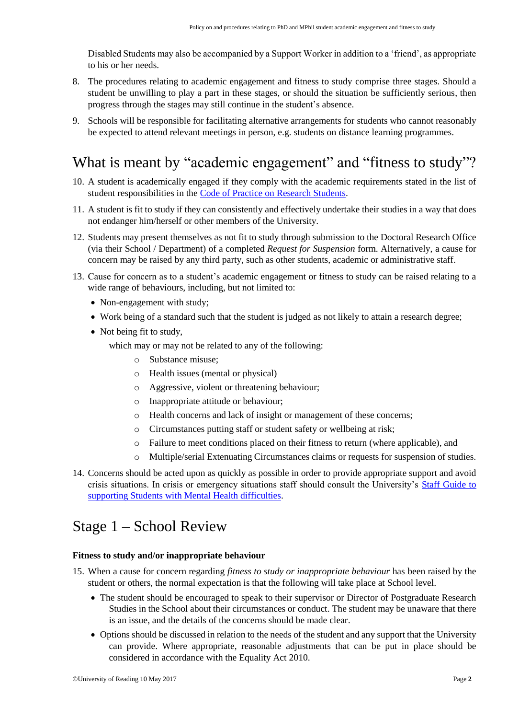Disabled Students may also be accompanied by a Support Worker in addition to a 'friend', as appropriate to his or her needs.

- 8. The procedures relating to academic engagement and fitness to study comprise three stages. Should a student be unwilling to play a part in these stages, or should the situation be sufficiently serious, then progress through the stages may still continue in the student's absence.
- 9. Schools will be responsible for facilitating alternative arrangements for students who cannot reasonably be expected to attend relevant meetings in person, e.g. students on distance learning programmes.

## What is meant by "academic engagement" and "fitness to study"?

- 10. A student is academically engaged if they comply with the academic requirements stated in the list of student responsibilities in the [Code of Practice on Research Students.](http://www.reading.ac.uk/web/FILES/qualitysupport/cop_resstudents.pdf)
- 11. A student is fit to study if they can consistently and effectively undertake their studies in a way that does not endanger him/herself or other members of the University.
- 12. Students may present themselves as not fit to study through submission to the Doctoral Research Office (via their School / Department) of a completed *Request for Suspension* form. Alternatively, a cause for concern may be raised by any third party, such as other students, academic or administrative staff.
- 13. Cause for concern as to a student's academic engagement or fitness to study can be raised relating to a wide range of behaviours, including, but not limited to:
	- Non-engagement with study;
	- Work being of a standard such that the student is judged as not likely to attain a research degree;
	- Not being fit to study,
		- which may or may not be related to any of the following:
			- o Substance misuse;
			- o Health issues (mental or physical)
			- o Aggressive, violent or threatening behaviour;
			- o Inappropriate attitude or behaviour;
			- o Health concerns and lack of insight or management of these concerns;
			- o Circumstances putting staff or student safety or wellbeing at risk;
			- o Failure to meet conditions placed on their fitness to return (where applicable), and
			- o Multiple/serial Extenuating Circumstances claims or requests for suspension of studies.
- 14. Concerns should be acted upon as quickly as possible in order to provide appropriate support and avoid crisis situations. In crisis or emergency situations staff should consult the University's [Staff Guide to](http://www.reading.ac.uk/web/FILES/personaltutor/Supporting_-_Mental_Health_Difficulties.pdf)  [supporting Students with Mental Health difficulties.](http://www.reading.ac.uk/web/FILES/personaltutor/Supporting_-_Mental_Health_Difficulties.pdf)

### Stage 1 – School Review

#### **Fitness to study and/or inappropriate behaviour**

- 15. When a cause for concern regarding *fitness to study or inappropriate behaviour* has been raised by the student or others, the normal expectation is that the following will take place at School level.
	- The student should be encouraged to speak to their supervisor or Director of Postgraduate Research Studies in the School about their circumstances or conduct. The student may be unaware that there is an issue, and the details of the concerns should be made clear.
	- Options should be discussed in relation to the needs of the student and any support that the University can provide. Where appropriate, reasonable adjustments that can be put in place should be considered in accordance with the Equality Act 2010.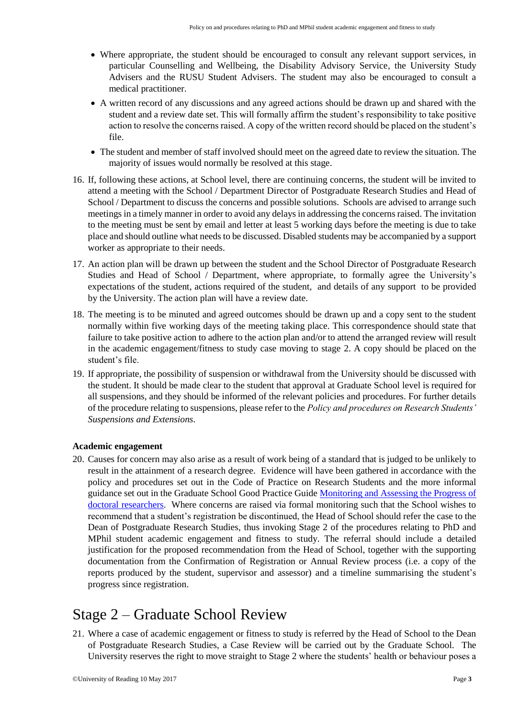- Where appropriate, the student should be encouraged to consult any relevant support services, in particular Counselling and Wellbeing, the Disability Advisory Service, the University Study Advisers and the RUSU Student Advisers. The student may also be encouraged to consult a medical practitioner.
- A written record of any discussions and any agreed actions should be drawn up and shared with the student and a review date set. This will formally affirm the student's responsibility to take positive action to resolve the concerns raised. A copy of the written record should be placed on the student's file.
- The student and member of staff involved should meet on the agreed date to review the situation. The majority of issues would normally be resolved at this stage.
- 16. If, following these actions, at School level, there are continuing concerns, the student will be invited to attend a meeting with the School / Department Director of Postgraduate Research Studies and Head of School / Department to discuss the concerns and possible solutions. Schools are advised to arrange such meetings in a timely manner in order to avoid any delays in addressing the concerns raised. The invitation to the meeting must be sent by email and letter at least 5 working days before the meeting is due to take place and should outline what needs to be discussed. Disabled students may be accompanied by a support worker as appropriate to their needs.
- 17. An action plan will be drawn up between the student and the School Director of Postgraduate Research Studies and Head of School / Department, where appropriate, to formally agree the University's expectations of the student, actions required of the student, and details of any support to be provided by the University. The action plan will have a review date.
- 18. The meeting is to be minuted and agreed outcomes should be drawn up and a copy sent to the student normally within five working days of the meeting taking place. This correspondence should state that failure to take positive action to adhere to the action plan and/or to attend the arranged review will result in the academic engagement/fitness to study case moving to stage 2. A copy should be placed on the student's file.
- 19. If appropriate, the possibility of suspension or withdrawal from the University should be discussed with the student. It should be made clear to the student that approval at Graduate School level is required for all suspensions, and they should be informed of the relevant policies and procedures. For further details of the procedure relating to suspensions, please refer to the *Policy and procedures on Research Students' Suspensions and Extensions*.

#### **Academic engagement**

20. Causes for concern may also arise as a result of work being of a standard that is judged to be unlikely to result in the attainment of a research degree. Evidence will have been gathered in accordance with the policy and procedures set out in the Code of Practice on Research Students and the more informal guidance set out in the Graduate School Good Practice Guid[e Monitoring and Assessing the Progress of](http://www.reading.ac.uk/web/FILES/graduateschool/pgrmonitoringguide.pdf)  [doctoral researchers.](http://www.reading.ac.uk/web/FILES/graduateschool/pgrmonitoringguide.pdf) Where concerns are raised via formal monitoring such that the School wishes to recommend that a student's registration be discontinued, the Head of School should refer the case to the Dean of Postgraduate Research Studies, thus invoking Stage 2 of the procedures relating to PhD and MPhil student academic engagement and fitness to study. The referral should include a detailed justification for the proposed recommendation from the Head of School, together with the supporting documentation from the Confirmation of Registration or Annual Review process (i.e. a copy of the reports produced by the student, supervisor and assessor) and a timeline summarising the student's progress since registration.

### Stage 2 – Graduate School Review

21. Where a case of academic engagement or fitness to study is referred by the Head of School to the Dean of Postgraduate Research Studies, a Case Review will be carried out by the Graduate School. The University reserves the right to move straight to Stage 2 where the students' health or behaviour poses a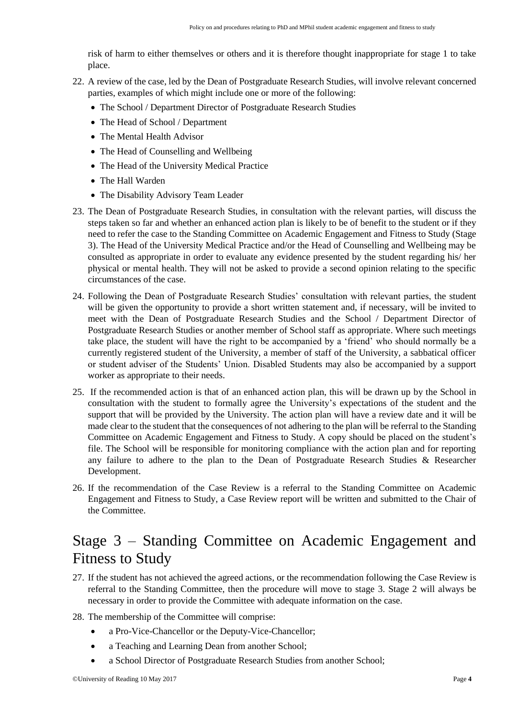risk of harm to either themselves or others and it is therefore thought inappropriate for stage 1 to take place.

- 22. A review of the case, led by the Dean of Postgraduate Research Studies, will involve relevant concerned parties, examples of which might include one or more of the following:
	- The School / Department Director of Postgraduate Research Studies
	- The Head of School / Department
	- The Mental Health Advisor
	- The Head of Counselling and Wellbeing
	- The Head of the University Medical Practice
	- The Hall Warden
	- The Disability Advisory Team Leader
- 23. The Dean of Postgraduate Research Studies, in consultation with the relevant parties, will discuss the steps taken so far and whether an enhanced action plan is likely to be of benefit to the student or if they need to refer the case to the Standing Committee on Academic Engagement and Fitness to Study (Stage 3). The Head of the University Medical Practice and/or the Head of Counselling and Wellbeing may be consulted as appropriate in order to evaluate any evidence presented by the student regarding his/ her physical or mental health. They will not be asked to provide a second opinion relating to the specific circumstances of the case.
- 24. Following the Dean of Postgraduate Research Studies' consultation with relevant parties, the student will be given the opportunity to provide a short written statement and, if necessary, will be invited to meet with the Dean of Postgraduate Research Studies and the School / Department Director of Postgraduate Research Studies or another member of School staff as appropriate. Where such meetings take place, the student will have the right to be accompanied by a 'friend' who should normally be a currently registered student of the University, a member of staff of the University, a sabbatical officer or student adviser of the Students' Union. Disabled Students may also be accompanied by a support worker as appropriate to their needs.
- 25. If the recommended action is that of an enhanced action plan, this will be drawn up by the School in consultation with the student to formally agree the University's expectations of the student and the support that will be provided by the University. The action plan will have a review date and it will be made clear to the student that the consequences of not adhering to the plan will be referral to the Standing Committee on Academic Engagement and Fitness to Study. A copy should be placed on the student's file. The School will be responsible for monitoring compliance with the action plan and for reporting any failure to adhere to the plan to the Dean of Postgraduate Research Studies & Researcher Development.
- 26. If the recommendation of the Case Review is a referral to the Standing Committee on Academic Engagement and Fitness to Study, a Case Review report will be written and submitted to the Chair of the Committee.

## Stage 3 – Standing Committee on Academic Engagement and Fitness to Study

- 27. If the student has not achieved the agreed actions, or the recommendation following the Case Review is referral to the Standing Committee, then the procedure will move to stage 3. Stage 2 will always be necessary in order to provide the Committee with adequate information on the case.
- 28. The membership of the Committee will comprise:
	- a Pro-Vice-Chancellor or the Deputy-Vice-Chancellor;
	- a Teaching and Learning Dean from another School;
	- a School Director of Postgraduate Research Studies from another School;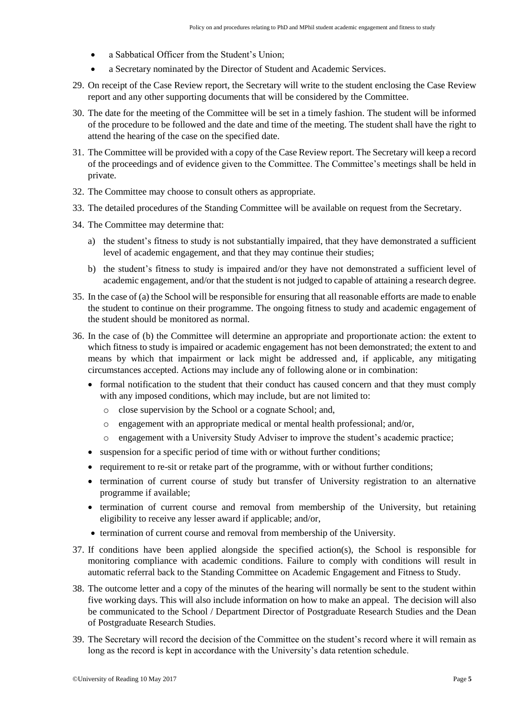- a Sabbatical Officer from the Student's Union;
- a Secretary nominated by the Director of Student and Academic Services.
- 29. On receipt of the Case Review report, the Secretary will write to the student enclosing the Case Review report and any other supporting documents that will be considered by the Committee.
- 30. The date for the meeting of the Committee will be set in a timely fashion. The student will be informed of the procedure to be followed and the date and time of the meeting. The student shall have the right to attend the hearing of the case on the specified date.
- 31. The Committee will be provided with a copy of the Case Review report. The Secretary will keep a record of the proceedings and of evidence given to the Committee. The Committee's meetings shall be held in private.
- 32. The Committee may choose to consult others as appropriate.
- 33. The detailed procedures of the Standing Committee will be available on request from the Secretary.
- 34. The Committee may determine that:
	- a) the student's fitness to study is not substantially impaired, that they have demonstrated a sufficient level of academic engagement, and that they may continue their studies;
	- b) the student's fitness to study is impaired and/or they have not demonstrated a sufficient level of academic engagement, and/or that the student is not judged to capable of attaining a research degree.
- 35. In the case of (a) the School will be responsible for ensuring that all reasonable efforts are made to enable the student to continue on their programme. The ongoing fitness to study and academic engagement of the student should be monitored as normal.
- 36. In the case of (b) the Committee will determine an appropriate and proportionate action: the extent to which fitness to study is impaired or academic engagement has not been demonstrated; the extent to and means by which that impairment or lack might be addressed and, if applicable, any mitigating circumstances accepted. Actions may include any of following alone or in combination:
	- formal notification to the student that their conduct has caused concern and that they must comply with any imposed conditions, which may include, but are not limited to:
		- o close supervision by the School or a cognate School; and,
		- o engagement with an appropriate medical or mental health professional; and/or,
		- o engagement with a University Study Adviser to improve the student's academic practice;
	- suspension for a specific period of time with or without further conditions;
	- requirement to re-sit or retake part of the programme, with or without further conditions;
	- termination of current course of study but transfer of University registration to an alternative programme if available;
	- termination of current course and removal from membership of the University, but retaining eligibility to receive any lesser award if applicable; and/or,
	- termination of current course and removal from membership of the University.
- 37. If conditions have been applied alongside the specified action(s), the School is responsible for monitoring compliance with academic conditions. Failure to comply with conditions will result in automatic referral back to the Standing Committee on Academic Engagement and Fitness to Study.
- 38. The outcome letter and a copy of the minutes of the hearing will normally be sent to the student within five working days. This will also include information on how to make an appeal. The decision will also be communicated to the School / Department Director of Postgraduate Research Studies and the Dean of Postgraduate Research Studies.
- 39. The Secretary will record the decision of the Committee on the student's record where it will remain as long as the record is kept in accordance with the University's data retention schedule.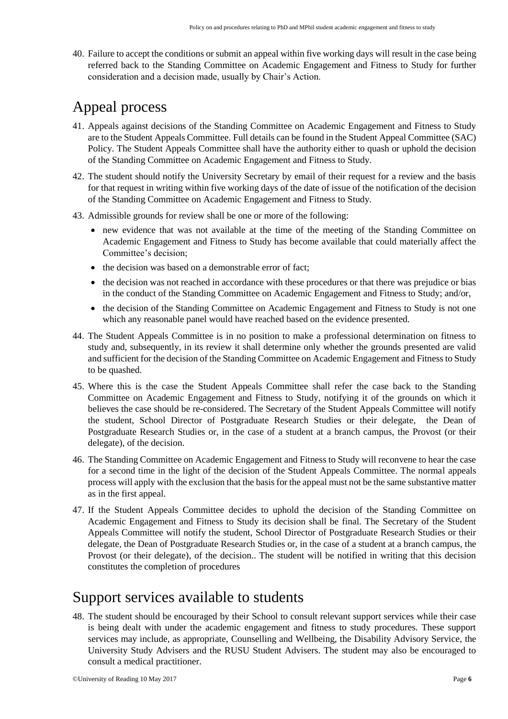40. Failure to accept the conditions or submit an appeal within five working days will result in the case being referred back to the Standing Committee on Academic Engagement and Fitness to Study for further consideration and a decision made, usually by Chair's Action.

# Appeal process

- 41. Appeals against decisions of the Standing Committee on Academic Engagement and Fitness to Study are to the Student Appeals Committee. Full details can be found in the Student Appeal Committee (SAC) Policy. The Student Appeals Committee shall have the authority either to quash or uphold the decision of the Standing Committee on Academic Engagement and Fitness to Study.
- 42. The student should notify the University Secretary by email of their request for a review and the basis for that request in writing within five working days of the date of issue of the notification of the decision of the Standing Committee on Academic Engagement and Fitness to Study.
- 43. Admissible grounds for review shall be one or more of the following:
	- new evidence that was not available at the time of the meeting of the Standing Committee on Academic Engagement and Fitness to Study has become available that could materially affect the Committee's decision;
	- the decision was based on a demonstrable error of fact:
	- the decision was not reached in accordance with these procedures or that there was prejudice or bias in the conduct of the Standing Committee on Academic Engagement and Fitness to Study; and/or,
	- the decision of the Standing Committee on Academic Engagement and Fitness to Study is not one which any reasonable panel would have reached based on the evidence presented.
- 44. The Student Appeals Committee is in no position to make a professional determination on fitness to study and, subsequently, in its review it shall determine only whether the grounds presented are valid and sufficient for the decision of the Standing Committee on Academic Engagement and Fitness to Study to be quashed.
- 45. Where this is the case the Student Appeals Committee shall refer the case back to the Standing Committee on Academic Engagement and Fitness to Study, notifying it of the grounds on which it believes the case should be re-considered. The Secretary of the Student Appeals Committee will notify the student, School Director of Postgraduate Research Studies or their delegate, the Dean of Postgraduate Research Studies or, in the case of a student at a branch campus, the Provost (or their delegate), of the decision.
- 46. The Standing Committee on Academic Engagement and Fitness to Study will reconvene to hear the case for a second time in the light of the decision of the Student Appeals Committee. The normal appeals process will apply with the exclusion that the basis for the appeal must not be the same substantive matter as in the first appeal.
- 47. If the Student Appeals Committee decides to uphold the decision of the Standing Committee on Academic Engagement and Fitness to Study its decision shall be final. The Secretary of the Student Appeals Committee will notify the student, School Director of Postgraduate Research Studies or their delegate, the Dean of Postgraduate Research Studies or, in the case of a student at a branch campus, the Provost (or their delegate), of the decision.. The student will be notified in writing that this decision constitutes the completion of procedures

### Support services available to students

48. The student should be encouraged by their School to consult relevant support services while their case is being dealt with under the academic engagement and fitness to study procedures. These support services may include, as appropriate, Counselling and Wellbeing, the Disability Advisory Service, the University Study Advisers and the RUSU Student Advisers. The student may also be encouraged to consult a medical practitioner.